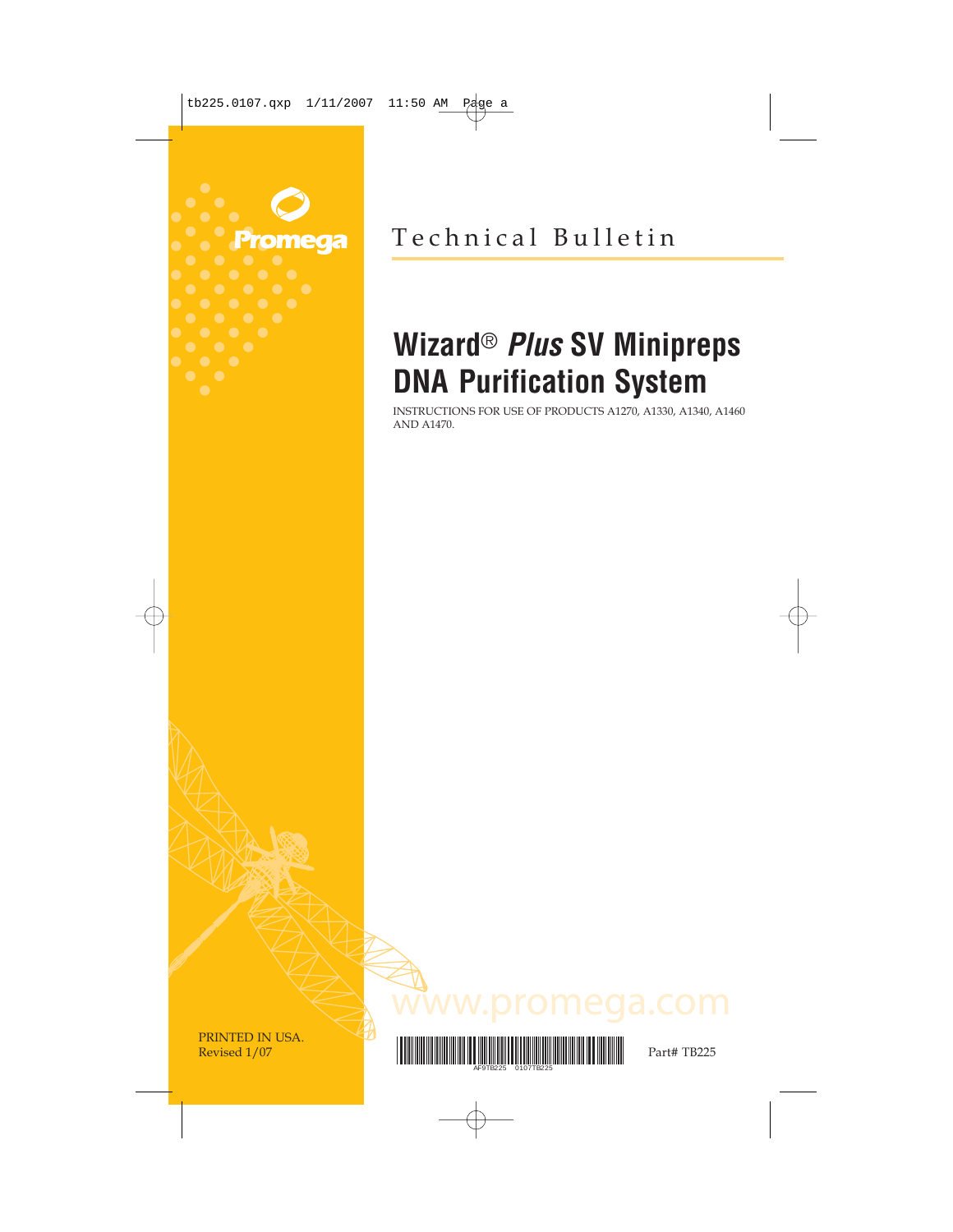

Technical Bulletin

# **Wizard**® **Plus SV Minipreps DNA Purification System**

INSTRUCTIONS FOR USE OF PRODUCTS A1270, A1330, A1340, A1460 AND A1470.

PRINTED IN USA.



ww.promega.com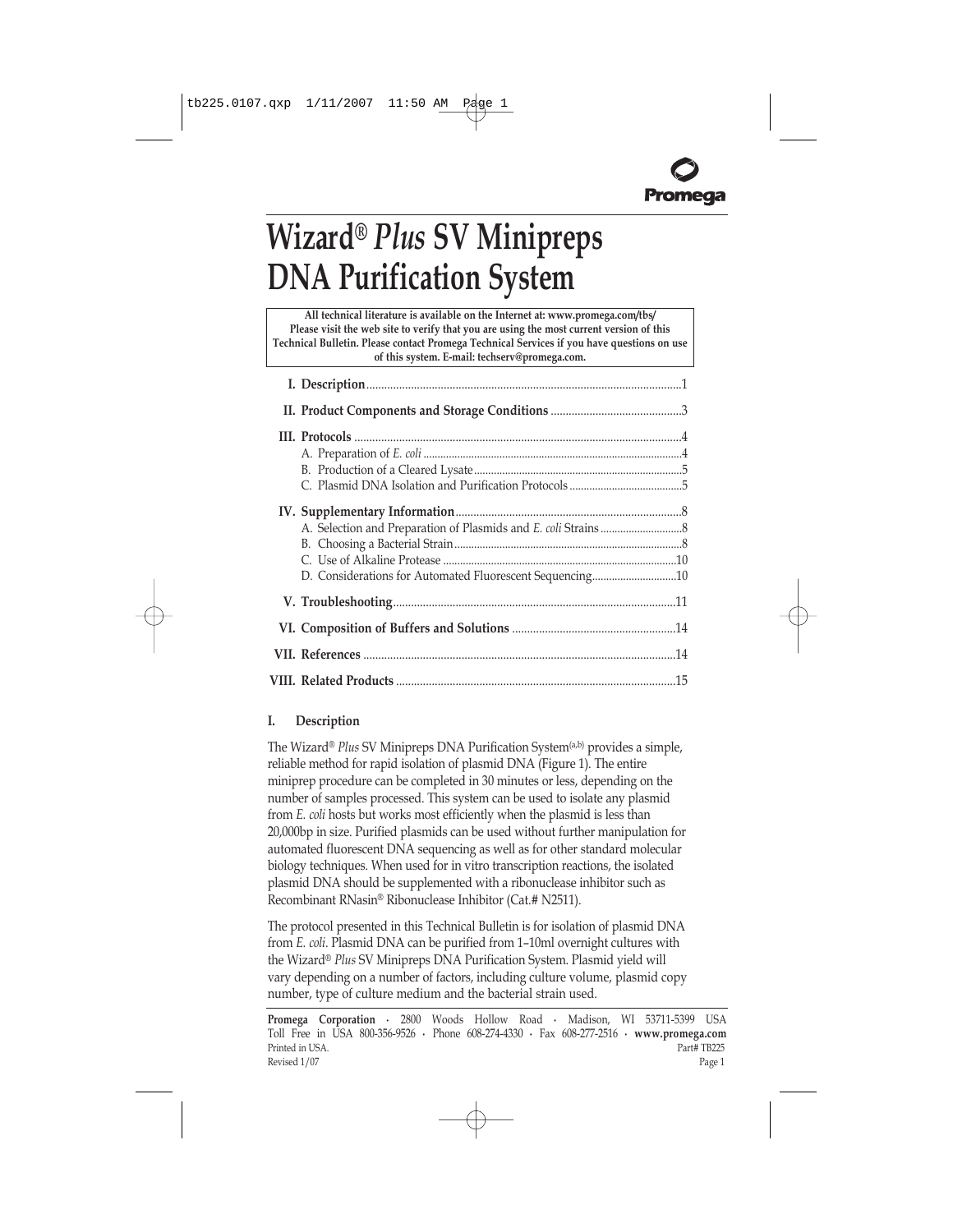# **Wizard**® *Plus* **SV** Minipreps **DNA Purification System**

**All technical literature is available on the Internet at: www.promega.com/tbs/ Please visit the web site to verify that you are using the most current version of this Technical Bulletin. Please contact Promega Technical Services if you have questions on use of this system. E-mail: techserv@promega.com.**

| D. Considerations for Automated Fluorescent Sequencing10 |  |
|----------------------------------------------------------|--|
|                                                          |  |
|                                                          |  |
|                                                          |  |
|                                                          |  |

# **I. Description**

The Wizard® Plus SV Minipreps DNA Purification System<sup>(a,b)</sup> provides a simple, reliable method for rapid isolation of plasmid DNA [\(Figure 1\)](#page-2-0). The entire miniprep procedure can be completed in 30 minutes or less, depending on the number of samples processed. This system can be used to isolate any plasmid from *E. coli* hosts but works most efficiently when the plasmid is less than 20,000bp in size. Purified plasmids can be used without further manipulation for automated fluorescent DNA sequencing as well as for other standard molecular biology techniques. When used for in vitro transcription reactions, the isolated plasmid DNA should be supplemented with a ribonuclease inhibitor such as Recombinant RNasin® Ribonuclease Inhibitor (Cat.# N2511).

The protocol presented in this Technical Bulletin is for isolation of plasmid DNA from *E. coli*. Plasmid DNA can be purified from 1-10ml overnight cultures with the Wizard® Plus SV Minipreps DNA Purification System. Plasmid yield will vary depending on a number of factors, including culture volume, plasmid copy number, type of culture medium and the bacterial strain used.

**Promega Corporation ·** 2800 Woods Hollow Road **·** Madison, WI 53711-5399 USA Toll Free in USA 800-356-9526 **·** Phone 608-274-4330 **·** Fax 608-277-2516 **· www.promega.com** Printed in USA. Part# TB225 Revised 1/07 Page 1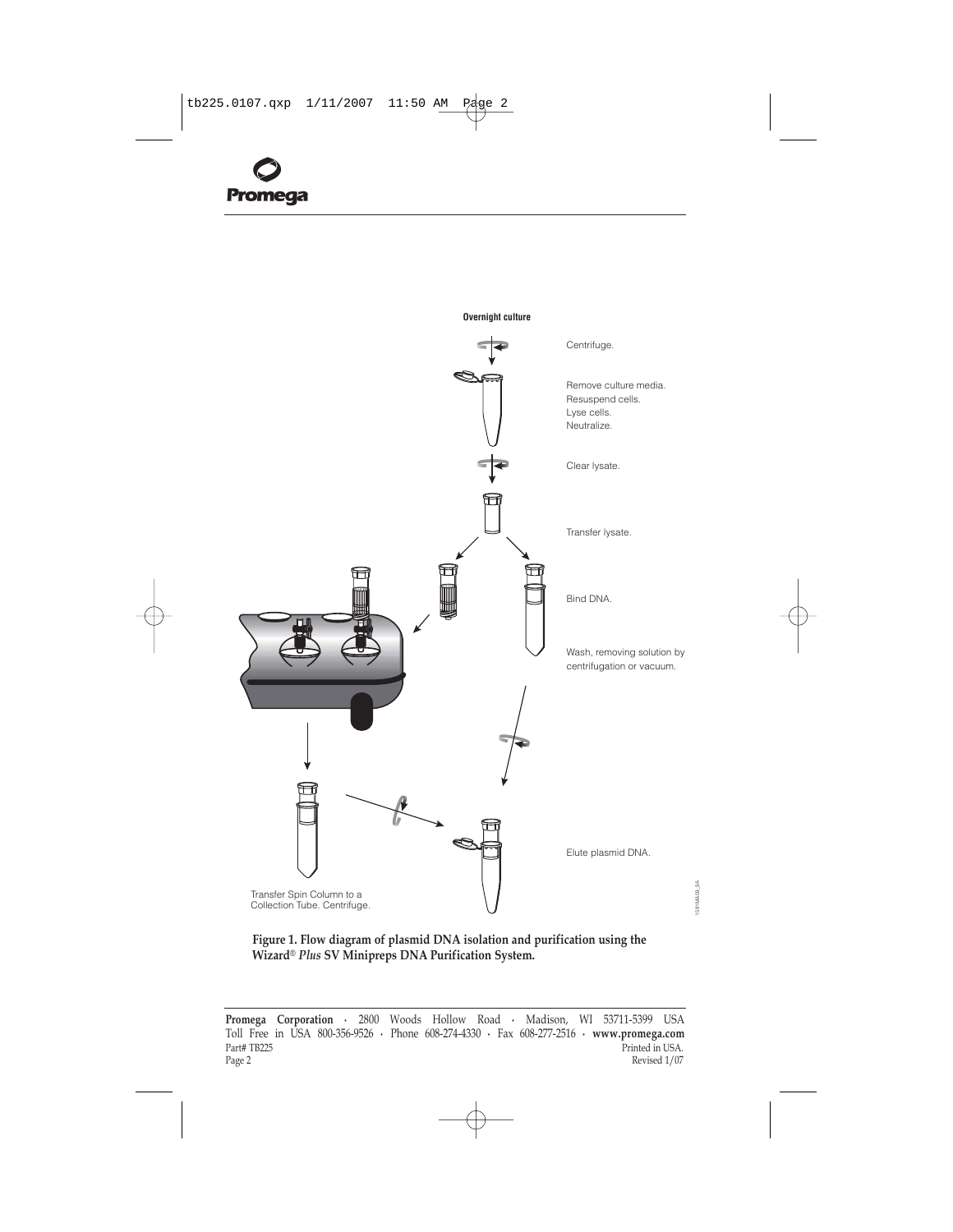<span id="page-2-0"></span>

**Overnight culture**

**Figure 1. Flow diagram of plasmid DNA isolation and purification using the** Wizard<sup>®</sup> Plus SV Minipreps DNA Purification System.

1581MA09\_9A

1581MA09\_9A

**Promega Corporation ·** 2800 Woods Hollow Road **·** Madison, WI 53711-5399 USA Toll Free in USA 800-356-9526 **·** Phone 608-274-4330 **·** Fax 608-277-2516 **· www.promega.com** Part# TB225 Printed in USA. Page 2 Revised  $1/07$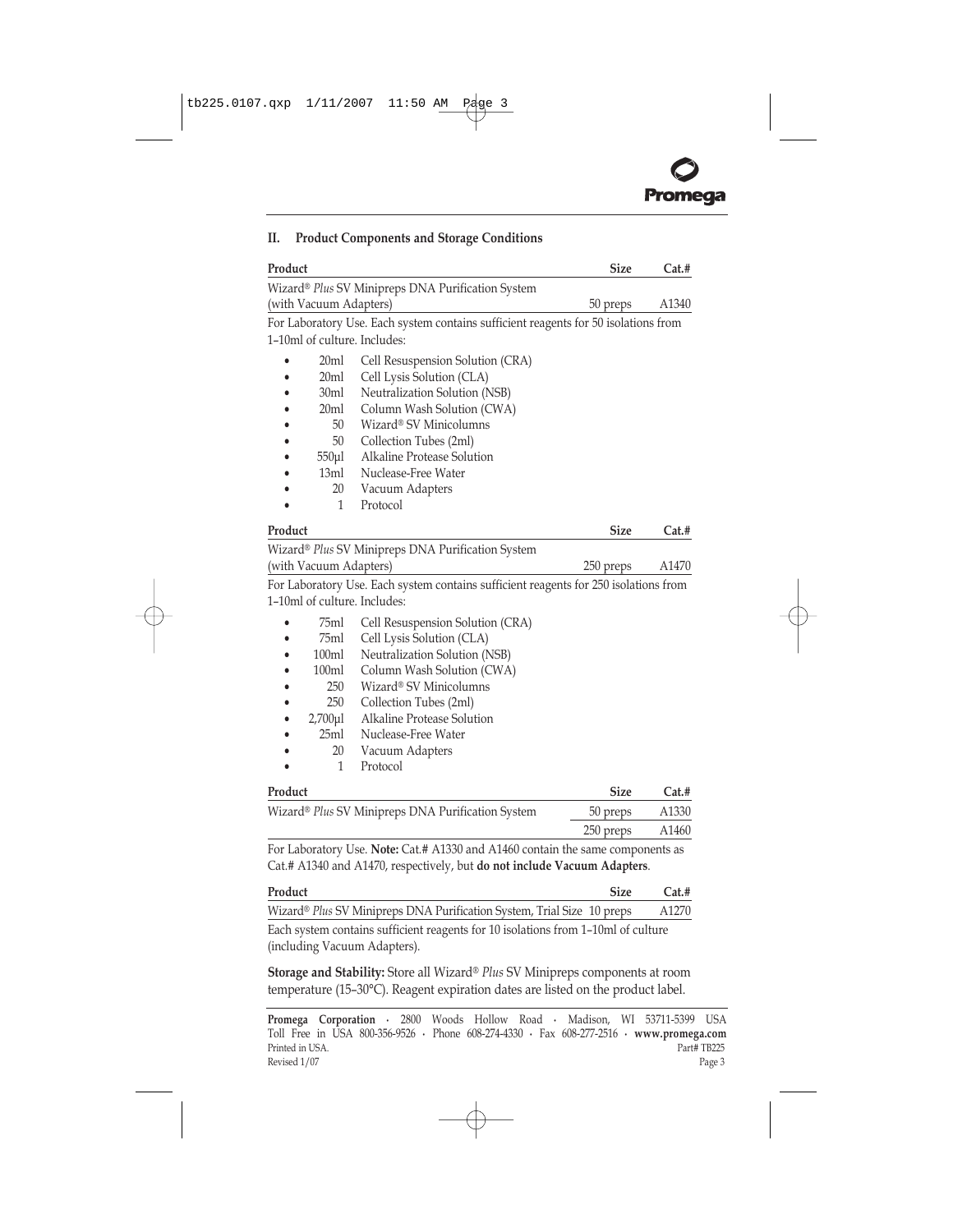

| Product                                                                             |                                                                                                                                                            | <b>Size</b> | Cat.# |
|-------------------------------------------------------------------------------------|------------------------------------------------------------------------------------------------------------------------------------------------------------|-------------|-------|
|                                                                                     | Wizard® Plus SV Minipreps DNA Purification System                                                                                                          |             |       |
| (with Vacuum Adapters)                                                              |                                                                                                                                                            | 50 preps    | A1340 |
| For Laboratory Use. Each system contains sufficient reagents for 50 isolations from |                                                                                                                                                            |             |       |
| 1-10ml of culture. Includes:                                                        |                                                                                                                                                            |             |       |
| 20ml                                                                                | Cell Resuspension Solution (CRA)                                                                                                                           |             |       |
| 20ml                                                                                | Cell Lysis Solution (CLA)                                                                                                                                  |             |       |
| 30ml                                                                                | Neutralization Solution (NSB)                                                                                                                              |             |       |
| 20ml                                                                                | Column Wash Solution (CWA)                                                                                                                                 |             |       |
| 50                                                                                  | Wizard® SV Minicolumns                                                                                                                                     |             |       |
| 50                                                                                  | Collection Tubes (2ml)                                                                                                                                     |             |       |
| $550 \mu l$                                                                         | Alkaline Protease Solution                                                                                                                                 |             |       |
| 13ml                                                                                | Nuclease-Free Water                                                                                                                                        |             |       |
| 20                                                                                  | Vacuum Adapters                                                                                                                                            |             |       |
| 1                                                                                   | Protocol                                                                                                                                                   |             |       |
| Product                                                                             |                                                                                                                                                            | <b>Size</b> | Cat.# |
|                                                                                     | Wizard® Plus SV Minipreps DNA Purification System                                                                                                          |             |       |
| (with Vacuum Adapters)                                                              |                                                                                                                                                            | 250 preps   | A1470 |
|                                                                                     | For Laboratory Use. Each system contains sufficient reagents for 250 isolations from                                                                       |             |       |
| 1-10ml of culture. Includes:                                                        |                                                                                                                                                            |             |       |
| 75ml                                                                                | Cell Resuspension Solution (CRA)                                                                                                                           |             |       |
| 75ml                                                                                | Cell Lysis Solution (CLA)                                                                                                                                  |             |       |
| 100ml                                                                               | Neutralization Solution (NSB)                                                                                                                              |             |       |
| 100ml                                                                               | Column Wash Solution (CWA)                                                                                                                                 |             |       |
| 250                                                                                 | Wizard® SV Minicolumns                                                                                                                                     |             |       |
| 250                                                                                 | Collection Tubes (2ml)                                                                                                                                     |             |       |
| $2,700$ µl                                                                          | Alkaline Protease Solution                                                                                                                                 |             |       |
| 25ml                                                                                | Nuclease-Free Water                                                                                                                                        |             |       |
| 20                                                                                  | Vacuum Adapters                                                                                                                                            |             |       |
| 1                                                                                   | Protocol                                                                                                                                                   |             |       |
| Product                                                                             |                                                                                                                                                            | <b>Size</b> | Cat.# |
|                                                                                     | Wizard® Plus SV Minipreps DNA Purification System                                                                                                          | 50 preps    | A1330 |
|                                                                                     |                                                                                                                                                            | 250 preps   | A1460 |
|                                                                                     | For Laboratory Use. Note: Cat.# A1330 and A1460 contain the same components as<br>Cat.# A1340 and A1470, respectively, but do not include Vacuum Adapters. |             |       |

# <span id="page-3-0"></span>**II. Product Components and Storage Conditions**

| Product                                                                           | Size | Cat.# |
|-----------------------------------------------------------------------------------|------|-------|
| Wizard® Plus SV Minipreps DNA Purification System, Trial Size 10 preps            |      | A1270 |
| Each system contains sufficient reagents for 10 isolations from 1-10ml of culture |      |       |
| (including Vacuum Adapters).                                                      |      |       |

**Storage and Stability:** Store all Wizard® Plus SV Minipreps components at room temperature (15-30°C). Reagent expiration dates are listed on the product label.

**Promega Corporation ·** 2800 Woods Hollow Road **·** Madison, WI 53711-5399 USA Toll Free in USA 800-356-9526 **·** Phone 608-274-4330 **·** Fax 608-277-2516 **· www.promega.com** Printed in USA. Part# TB225 Revised 1/07 Page 3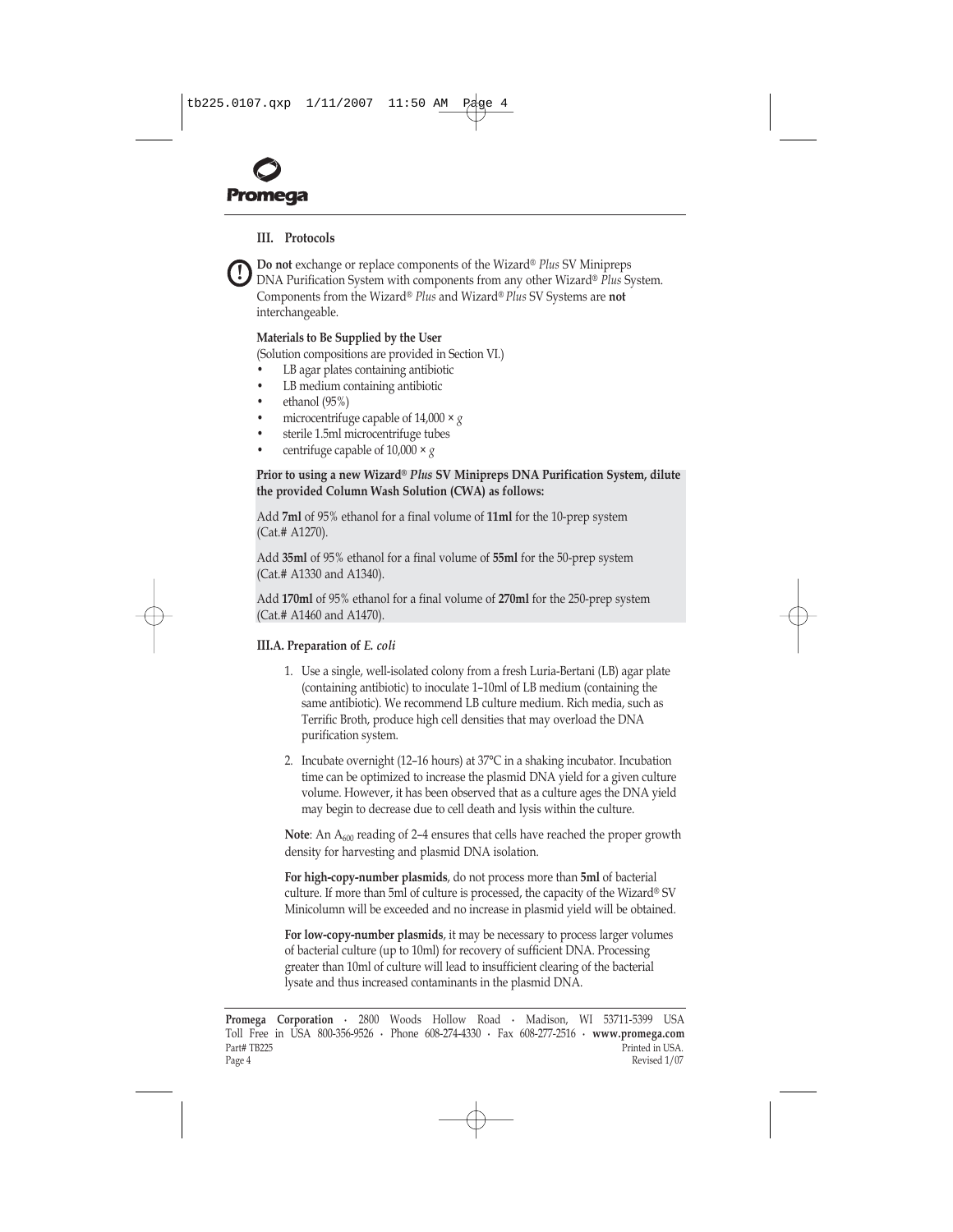<span id="page-4-0"></span>

**!**

# **III. Protocols**

**Do not** exchange or replace components of the Wizard® Plus SV Minipreps DNA Purification System with components from any other Wizard® Plus System. Components from the Wizard® Plus and Wizard® Plus SV Systems are **not** interchangeable.

#### **Materials to Be Supplied by the User**

(Solution compositions are provided in [Section VI.\)](#page-14-0)

- LB agar plates containing antibiotic
- LB medium containing antibiotic
- ethanol  $(95%)$
- microcentrifuge capable of  $14,000 \times g$
- sterile 1.5ml microcentrifuge tubes
- centrifuge capable of  $10,000 \times g$

#### Prior to using a new Wizard® Plus SV Minipreps DNA Purification System, dilute **the provided Column Wash Solution (CWA) as follows:**

Add **7ml** of 95% ethanol for a final volume of **11ml** for the 10-prep system (Cat.# A1270).

Add **35ml** of 95% ethanol for a final volume of **55ml** for the 50-prep system (Cat.# A1330 and A1340).

Add **170ml** of 95% ethanol for a final volume of **270ml** for the 250-prep system (Cat.# A1460 and A1470).

#### **III.A. Preparation of** *E. coli*

- 1. Use a single, well-isolated colony from a fresh Luria-Bertani (LB) agar plate (containing antibiotic) to inoculate 1–10ml of LB medium (containing the same antibiotic). We recommend LB culture medium. Rich media, such as Terrific Broth, produce high cell densities that may overload the DNA purification system.
- 2. Incubate overnight (12–16 hours) at  $37^{\circ}$ C in a shaking incubator. Incubation time can be optimized to increase the plasmid DNA yield for a given culture volume. However, it has been observed that as a culture ages the DNA yield may begin to decrease due to cell death and lysis within the culture.

**Note**: An A<sub>600</sub> reading of 2-4 ensures that cells have reached the proper growth density for harvesting and plasmid DNA isolation.

**For high-copy-number plasmids**, do not process more than **5ml** of bacterial culture. If more than 5ml of culture is processed, the capacity of the Wizard® SV Minicolumn will be exceeded and no increase in plasmid yield will be obtained.

**For low-copy-number plasmids**, it may be necessary to process larger volumes of bacterial culture (up to 10ml) for recovery of sufficient DNA. Processing greater than 10ml of culture will lead to insufficient clearing of the bacterial lysate and thus increased contaminants in the plasmid DNA.

**Promega Corporation ·** 2800 Woods Hollow Road **·** Madison, WI 53711-5399 USA Toll Free in USA 800-356-9526 **·** Phone 608-274-4330 **·** Fax 608-277-2516 **· www.promega.com** Part# TB225 Part# TB225 Printed in USA.<br>Page 4 Printed in USA. Page 4 Revised 1/07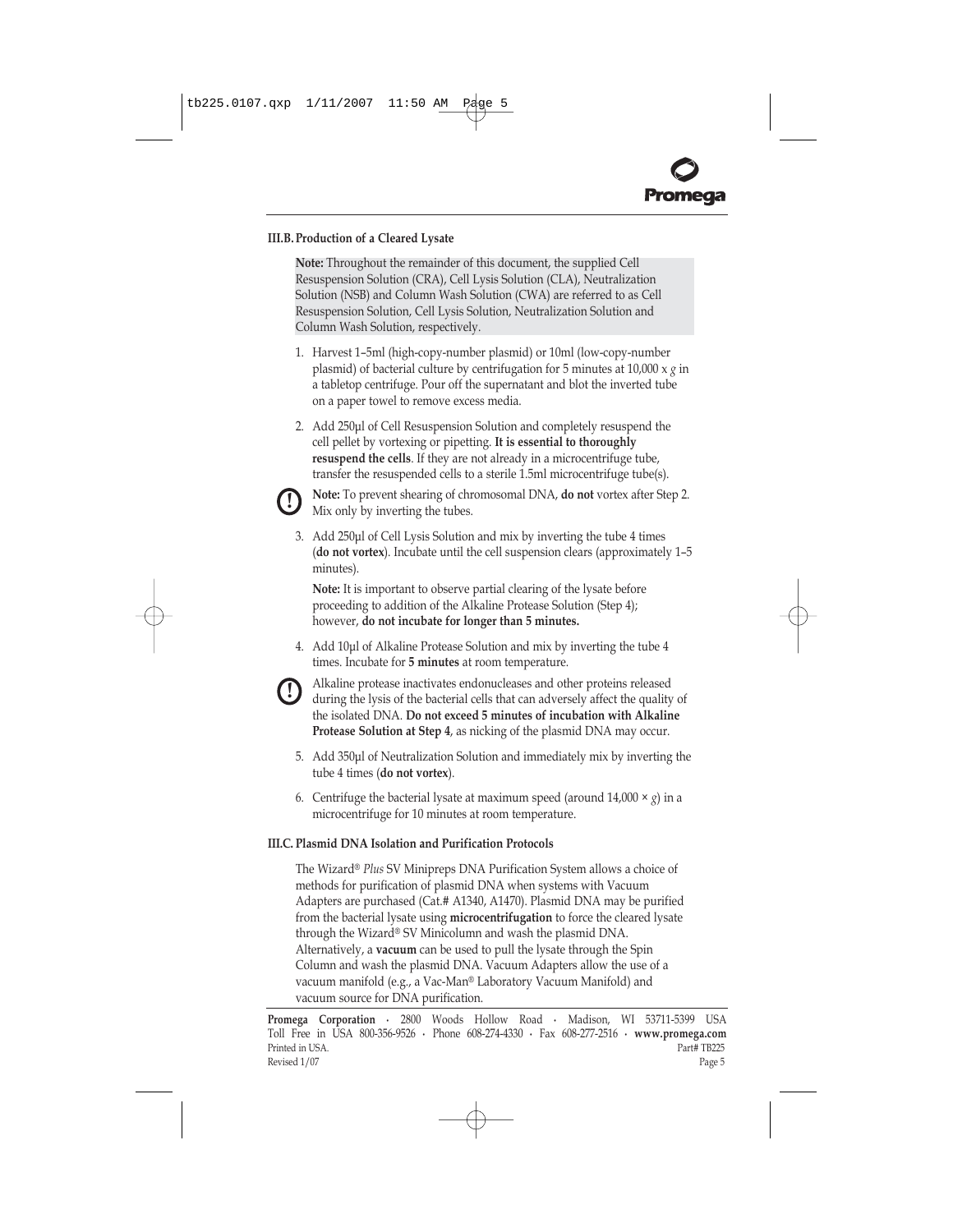# <span id="page-5-0"></span>**III.B. Production of a Cleared Lysate**

**Note:** Throughout the remainder of this document, the supplied Cell Resuspension Solution (CRA), Cell Lysis Solution (CLA), Neutralization Solution (NSB) and Column Wash Solution (CWA) are referred to as Cell Resuspension Solution, Cell Lysis Solution, Neutralization Solution and Column Wash Solution, respectively.

- 1. Harvest 1-5ml (high-copy-number plasmid) or 10ml (low-copy-number plasmid) of bacterial culture by centrifugation for 5 minutes at 10,000 x *g* in a tabletop centrifuge. Pour off the supernatant and blot the inverted tube on a paper towel to remove excess media.
- 2. Add 250µl of Cell Resuspension Solution and completely resuspend the cell pellet by vortexing or pipetting. **It is essential to thoroughly resuspend the cells**. If they are not already in a microcentrifuge tube, transfer the resuspended cells to a sterile 1.5ml microcentrifuge tube(s).



**Note:** To prevent shearing of chromosomal DNA, **do not** vortex after Step 2. Mix only by inverting the tubes.

3. Add 250µl of Cell Lysis Solution and mix by inverting the tube 4 times (do not vortex). Incubate until the cell suspension clears (approximately 1-5 minutes).

**Note:** It is important to observe partial clearing of the lysate before proceeding to addition of the Alkaline Protease Solution (Step 4); however, **do not incubate for longer than 5 minutes.**

4. Add 10µl of Alkaline Protease Solution and mix by inverting the tube 4 times. Incubate for **5 minutes** at room temperature.



Alkaline protease inactivates endonucleases and other proteins released during the lysis of the bacterial cells that can adversely affect the quality of the isolated DNA. **Do not exceed 5 minutes of incubation with Alkaline Protease Solution at Step 4**, as nicking of the plasmid DNA may occur.

- 5. Add 350µl of Neutralization Solution and immediately mix by inverting the tube 4 times (**do not vortex**).
- 6. Centrifuge the bacterial lysate at maximum speed (around  $14,000 \times g$ ) in a microcentrifuge for 10 minutes at room temperature.

# **III.C. Plasmid DNA Isolation and Purification Protocols**

The Wizard® Plus SV Minipreps DNA Purification System allows a choice of methods for purification of plasmid DNA when systems with Vacuum Adapters are purchased (Cat.# A1340, A1470). Plasmid DNA may be purified from the bacterial lysate using **microcentrifugation** to force the cleared lysate through the Wizard® SV Minicolumn and wash the plasmid DNA. Alternatively, a **vacuum** can be used to pull the lysate through the Spin Column and wash the plasmid DNA. Vacuum Adapters allow the use of a vacuum manifold (e.g., a Vac-Man® Laboratory Vacuum Manifold) and vacuum source for DNA purification.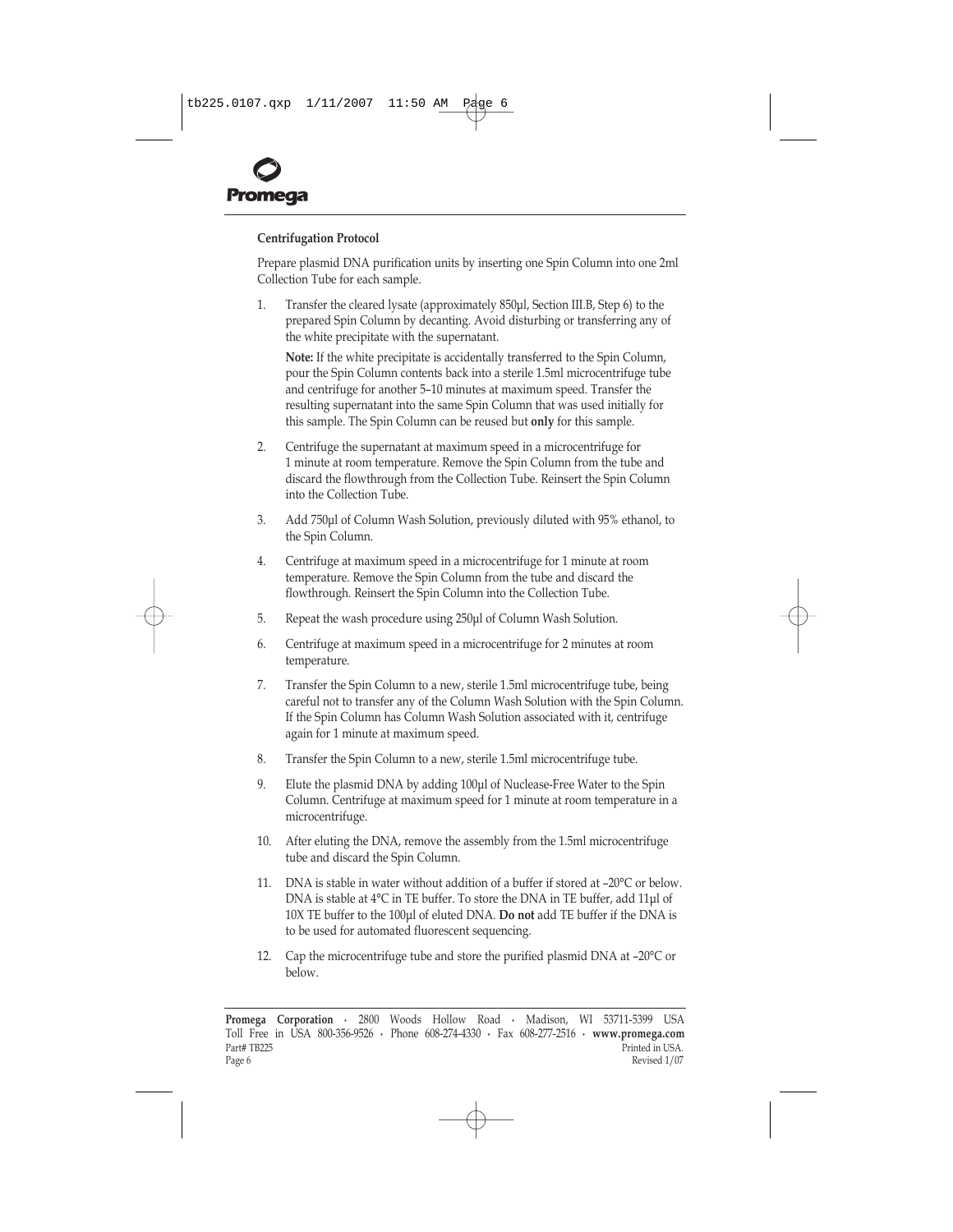

# **Centrifugation Protocol**

Prepare plasmid DNA purification units by inserting one Spin Column into one 2ml Collection Tube for each sample.

1. Transfer the cleared lysate (approximately 850µl, [Section III.B, Step 6\)](#page-5-0) to the prepared Spin Column by decanting. Avoid disturbing or transferring any of the white precipitate with the supernatant.

**Note:** If the white precipitate is accidentally transferred to the Spin Column, pour the Spin Column contents back into a sterile 1.5ml microcentrifuge tube and centrifuge for another 5-10 minutes at maximum speed. Transfer the resulting supernatant into the same Spin Column that was used initially for this sample. The Spin Column can be reused but **only** for this sample.

- 2. Centrifuge the supernatant at maximum speed in a microcentrifuge for 1 minute at room temperature. Remove the Spin Column from the tube and discard the flowthrough from the Collection Tube. Reinsert the Spin Column into the Collection Tube.
- 3. Add 750µl of Column Wash Solution, previously diluted with 95% ethanol, to the Spin Column.
- 4. Centrifuge at maximum speed in a microcentrifuge for 1 minute at room temperature. Remove the Spin Column from the tube and discard the flowthrough. Reinsert the Spin Column into the Collection Tube.
- 5. Repeat the wash procedure using 250µl of Column Wash Solution.
- 6. Centrifuge at maximum speed in a microcentrifuge for 2 minutes at room temperature.
- 7. Transfer the Spin Column to a new, sterile 1.5ml microcentrifuge tube, being careful not to transfer any of the Column Wash Solution with the Spin Column. If the Spin Column has Column Wash Solution associated with it, centrifuge again for 1 minute at maximum speed.
- 8. Transfer the Spin Column to a new, sterile 1.5ml microcentrifuge tube.
- 9. Elute the plasmid DNA by adding 100µl of Nuclease-Free Water to the Spin Column. Centrifuge at maximum speed for 1 minute at room temperature in a microcentrifuge.
- 10. After eluting the DNA, remove the assembly from the 1.5ml microcentrifuge tube and discard the Spin Column.
- 11. DNA is stable in water without addition of a buffer if stored at  $-20^{\circ}$ C or below. DNA is stable at 4°C in TE buffer. To store the DNA in TE buffer, add 11µl of 10X TE buffer to the 100µl of eluted DNA. **Do not** add TE buffer if the DNA is to be used for automated fluorescent sequencing.
- 12. Cap the microcentrifuge tube and store the purified plasmid DNA at  $-20^{\circ}$ C or below.

**Promega Corporation ·** 2800 Woods Hollow Road **·** Madison, WI 53711-5399 USA Toll Free in USA 800-356-9526 **·** Phone 608-274-4330 **·** Fax 608-277-2516 **· www.promega.com** Part# TB225 Printed in USA.<br>Page 6 Printed in USA. Page 6 Revised 1/07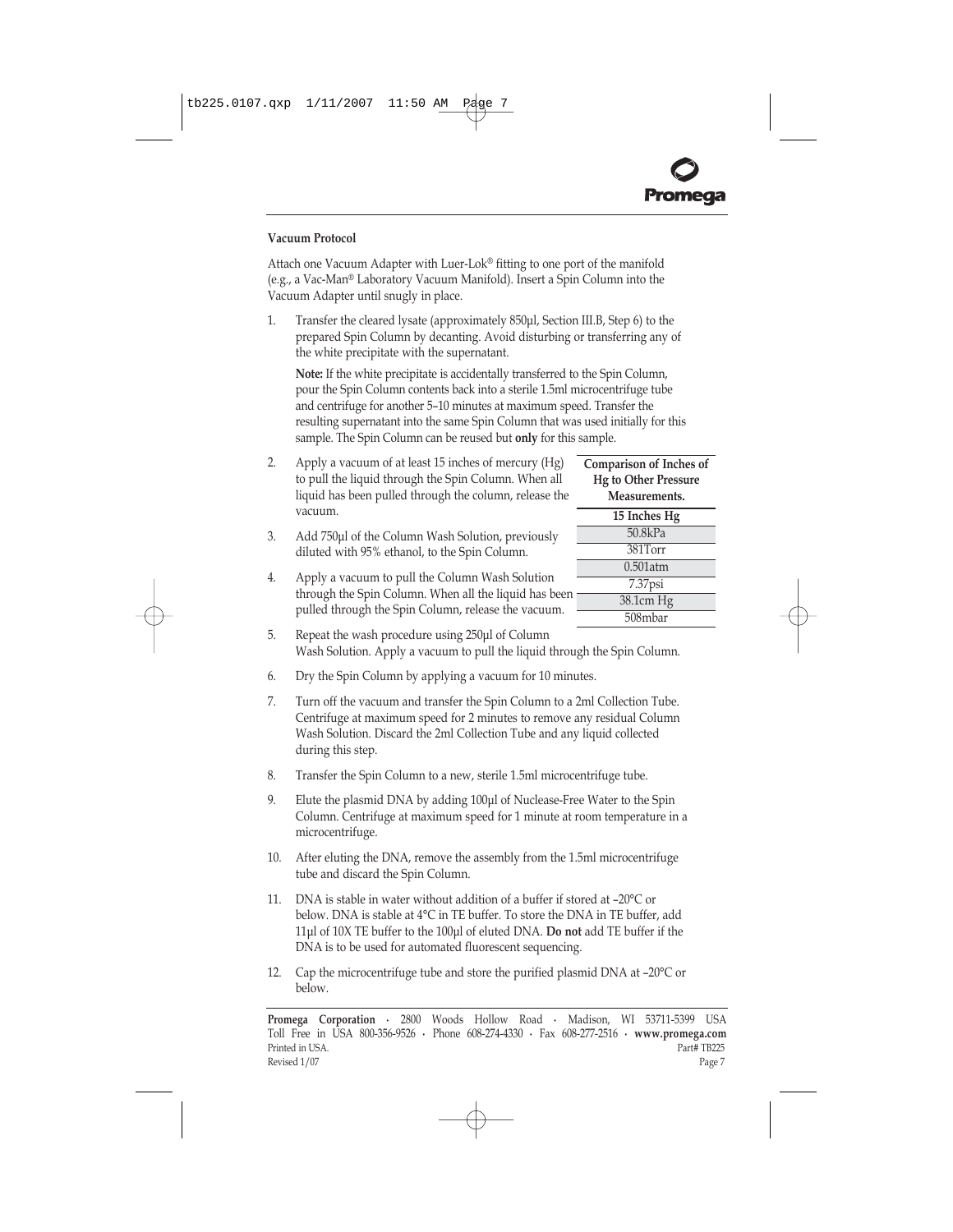# **Vacuum Protocol**

Attach one Vacuum Adapter with Luer-Lok® fitting to one port of the manifold (e.g., a Vac-Man® Laboratory Vacuum Manifold). Insert a Spin Column into the Vacuum Adapter until snugly in place.

1. Transfer the cleared lysate (approximately 850µl, [Section III.B, Step 6\)](#page-5-0) to the prepared Spin Column by decanting. Avoid disturbing or transferring any of the white precipitate with the supernatant.

**Note:** If the white precipitate is accidentally transferred to the Spin Column, pour the Spin Column contents back into a sterile 1.5ml microcentrifuge tube and centrifuge for another 5-10 minutes at maximum speed. Transfer the resulting supernatant into the same Spin Column that was used initially for this sample. The Spin Column can be reused but **only** for this sample.

- **Comparison of Inches of Hg to Other Pressure Measurements. 15 Inches Hg** 50.8kPa 381Torr 0.501atm 7.37psi 38.1cm Hg 508mbar
- 2. Apply a vacuum of at least 15 inches of mercury (Hg) to pull the liquid through the Spin Column. When all liquid has been pulled through the column, release the vacuum.
- 3. Add 750µl of the Column Wash Solution, previously diluted with 95% ethanol, to the Spin Column.
- 4. Apply a vacuum to pull the Column Wash Solution through the Spin Column. When all the liquid has been pulled through the Spin Column, release the vacuum.
- 5. Repeat the wash procedure using 250µl of Column Wash Solution. Apply a vacuum to pull the liquid through the Spin Column.
- 6. Dry the Spin Column by applying a vacuum for 10 minutes.
- 7. Turn off the vacuum and transfer the Spin Column to a 2ml Collection Tube. Centrifuge at maximum speed for 2 minutes to remove any residual Column Wash Solution. Discard the 2ml Collection Tube and any liquid collected during this step.
- 8. Transfer the Spin Column to a new, sterile 1.5ml microcentrifuge tube.
- 9. Elute the plasmid DNA by adding 100µl of Nuclease-Free Water to the Spin Column. Centrifuge at maximum speed for 1 minute at room temperature in a microcentrifuge.
- 10. After eluting the DNA, remove the assembly from the 1.5ml microcentrifuge tube and discard the Spin Column.
- 11. DNA is stable in water without addition of a buffer if stored at  $-20^{\circ}$ C or below. DNA is stable at 4°C in TE buffer. To store the DNA in TE buffer, add 11µl of 10X TE buffer to the 100µl of eluted DNA. **Do not** add TE buffer if the DNA is to be used for automated fluorescent sequencing.
- 12. Cap the microcentrifuge tube and store the purified plasmid DNA at  $-20^{\circ}$ C or below.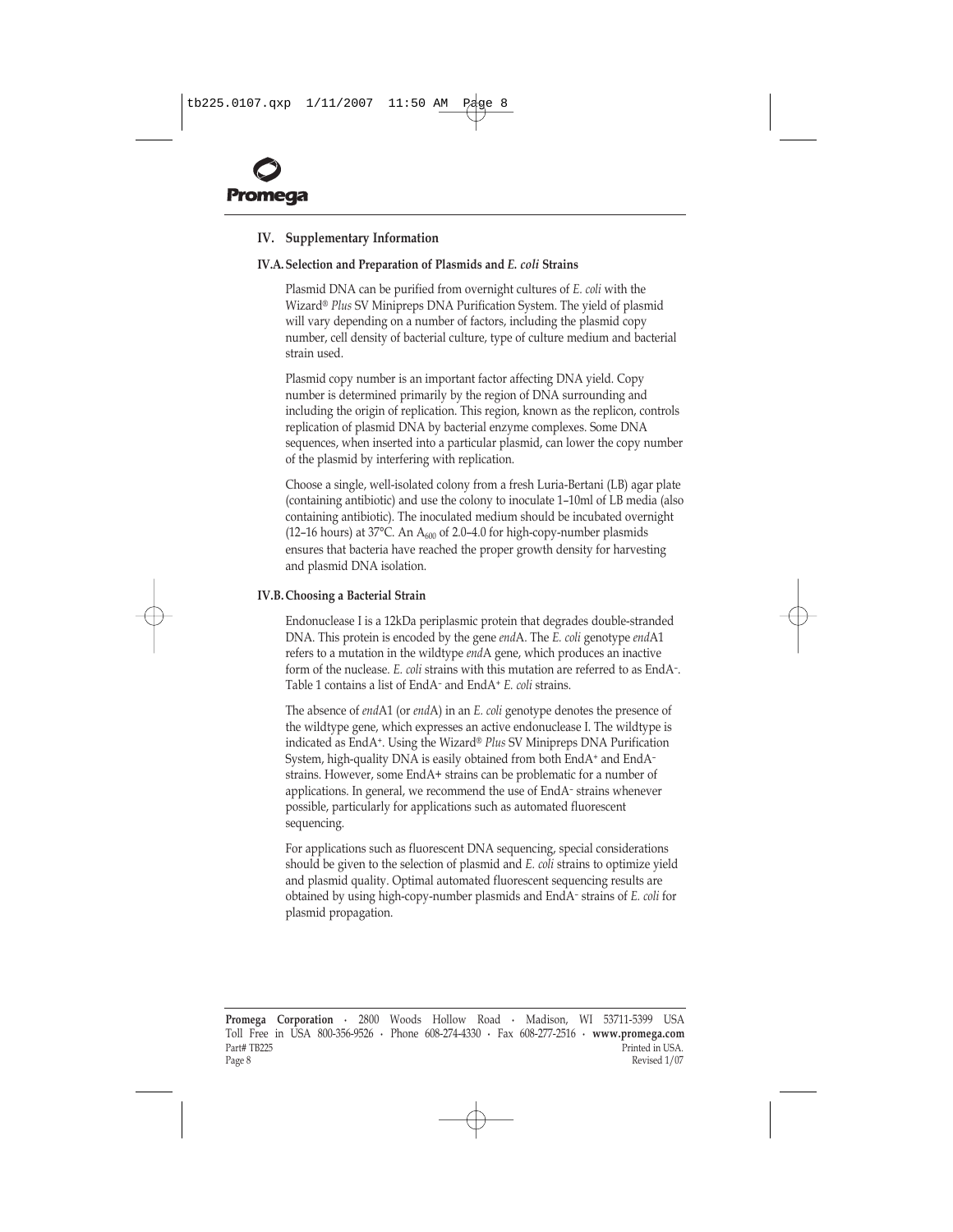<span id="page-8-0"></span>

# **IV. Supplementary Information**

#### **IV.A.Selection and Preparation of Plasmids and** *E. coli* **Strains**

Plasmid DNA can be purified from overnight cultures of *E. coli* with the Wizard® Plus SV Minipreps DNA Purification System. The yield of plasmid will vary depending on a number of factors, including the plasmid copy number, cell density of bacterial culture, type of culture medium and bacterial strain used.

Plasmid copy number is an important factor affecting DNA yield. Copy number is determined primarily by the region of DNA surrounding and including the origin of replication. This region, known as the replicon, controls replication of plasmid DNA by bacterial enzyme complexes. Some DNA sequences, when inserted into a particular plasmid, can lower the copy number of the plasmid by interfering with replication.

Choose a single, well-isolated colony from a fresh Luria-Bertani (LB) agar plate (containing antibiotic) and use the colony to inoculate 1-10ml of LB media (also containing antibiotic). The inoculated medium should be incubated overnight (12-16 hours) at 37°C. An  $A_{600}$  of 2.0-4.0 for high-copy-number plasmids ensures that bacteria have reached the proper growth density for harvesting and plasmid DNA isolation.

#### **IV.B. Choosing a Bacterial Strain**

Endonuclease I is a 12kDa periplasmic protein that degrades double-stranded DNA. This protein is encoded by the gene *end*A. The *E. coli* genotype *end*A1 refers to a mutation in the wildtype *end*A gene, which produces an inactive form of the nuclease. *E. coli* strains with this mutation are referred to as EndA-. [Table 1 c](#page-9-0)ontains a list of EndA<sup>-</sup> and EndA<sup>+</sup> *E. coli* strains.

The absence of *end*A1 (or *end*A) in an *E. coli* genotype denotes the presence of the wildtype gene, which expresses an active endonuclease I. The wildtype is indicated as EndA<sup>+</sup>. Using the Wizard® Plus SV Minipreps DNA Purification System, high-quality DNA is easily obtained from both EndA<sup>+</sup> and EndA<sup>-</sup> strains. However, some EndA+ strains can be problematic for a number of applications. In general, we recommend the use of EndA-strains whenever possible, particularly for applications such as automated fluorescent sequencing.

For applications such as fluorescent DNA sequencing, special considerations should be given to the selection of plasmid and *E. coli* strains to optimize yield and plasmid quality. Optimal automated fluorescent sequencing results are obtained by using high-copy-number plasmids and EndAñ strains of *E. coli* for plasmid propagation.

**Promega Corporation ·** 2800 Woods Hollow Road **·** Madison, WI 53711-5399 USA Toll Free in USA 800-356-9526 **·** Phone 608-274-4330 **·** Fax 608-277-2516 **· www.promega.com** Part# TB225 Printed in USA.<br>Page 8 Printed in USA. Page 8 Revised 1/07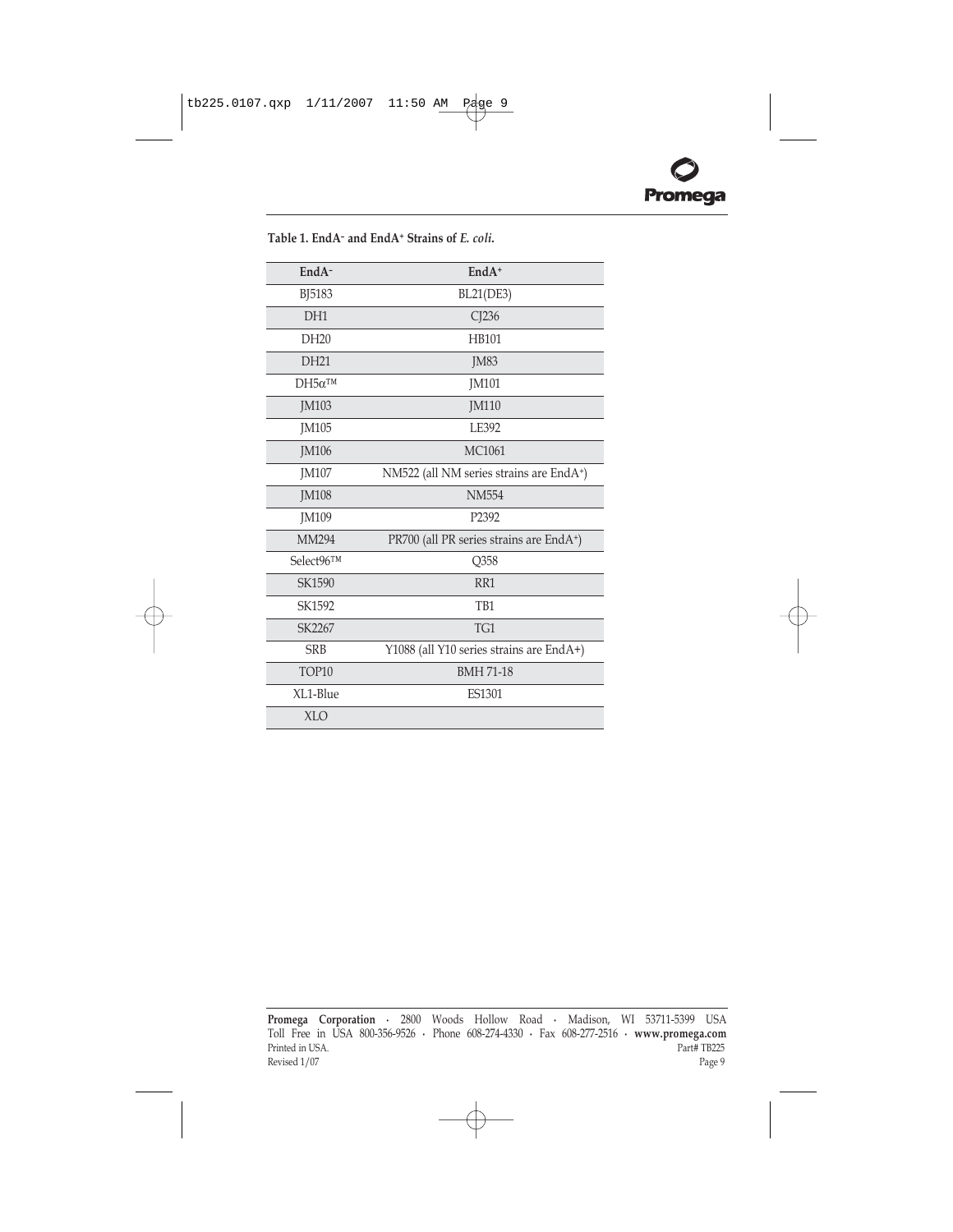| EndA-            | $EndA+$                                  |
|------------------|------------------------------------------|
| <b>BJ5183</b>    | <b>BL21(DE3)</b>                         |
| DH <sub>1</sub>  | CJ236                                    |
| DH <sub>20</sub> | <b>HB101</b>                             |
| DH21             | <b>JM83</b>                              |
| $DH5\alpha^{TM}$ | <b>JM101</b>                             |
| <b>IM103</b>     | <b>IM110</b>                             |
| <b>IM105</b>     | LE392                                    |
| <b>JM106</b>     | <b>MC1061</b>                            |
| <b>JM107</b>     | NM522 (all NM series strains are EndA+)  |
| JM108            | <b>NM554</b>                             |
| JM109            | P2392                                    |
| MM294            | PR700 (all PR series strains are EndA+)  |
| Select96TM       | Q358                                     |
| SK1590           | RR1                                      |
| SK1592           | T <sub>B1</sub>                          |
| SK2267           | TG1                                      |
| <b>SRB</b>       | Y1088 (all Y10 series strains are EndA+) |
| TOP10            | <b>BMH 71-18</b>                         |
| XL1-Blue         | <b>ES1301</b>                            |
| <b>XLO</b>       |                                          |

<span id="page-9-0"></span>**Table 1. EndAñ and EndA+ Strains of** *E. coli***.**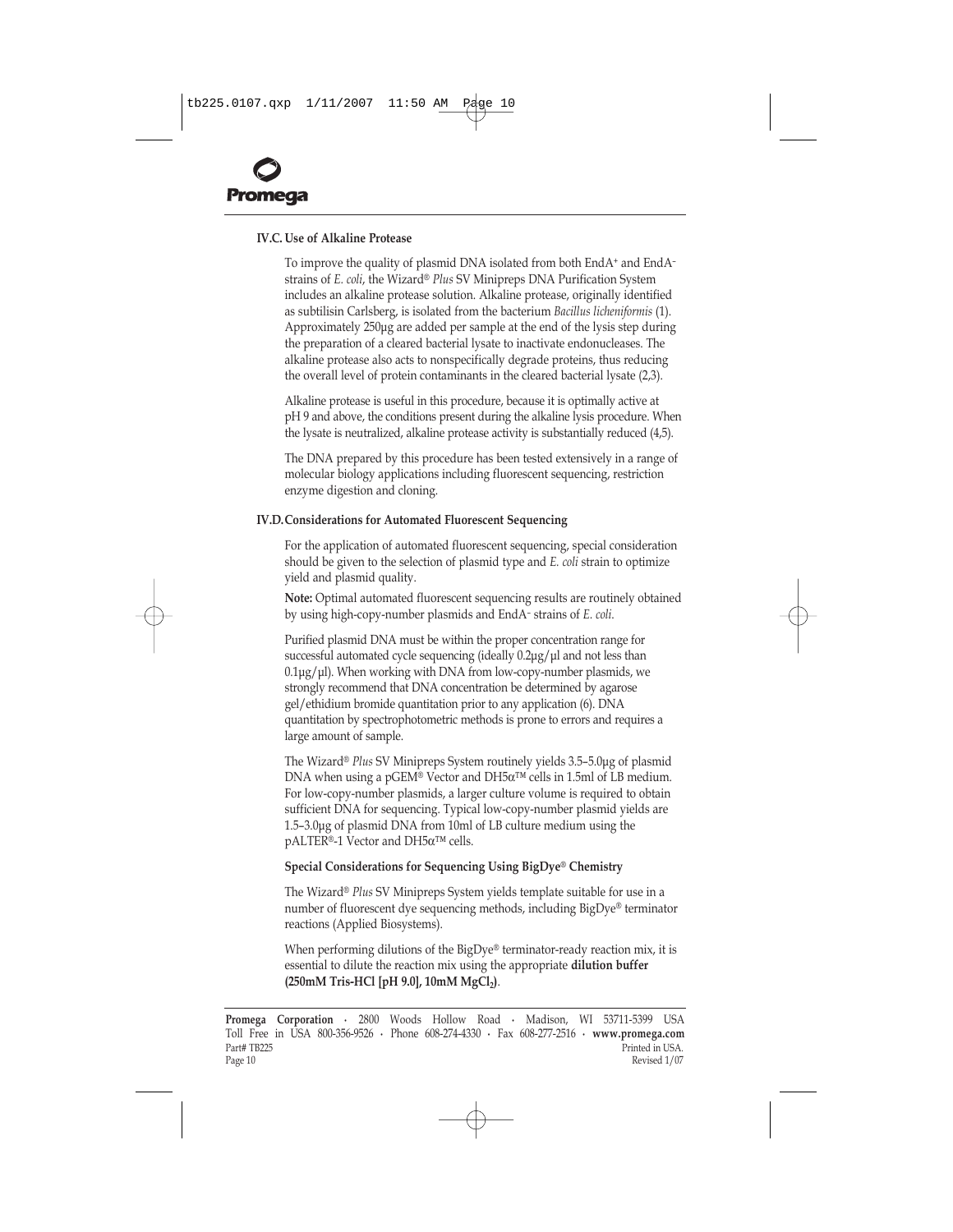# <span id="page-10-0"></span>**IV.C. Use of Alkaline Protease**

To improve the quality of plasmid DNA isolated from both EndA<sup>+</sup> and EndA<sup>-</sup> strains of *E. coli,* the Wizard® Plus SV Minipreps DNA Purification System includes an alkaline protease solution. Alkaline protease, originally identified as subtilisin Carlsberg, is isolated from the bacterium *Bacillus licheniformis* (1). Approximately 250µg are added per sample at the end of the lysis step during the preparation of a cleared bacterial lysate to inactivate endonucleases. The alkaline protease also acts to nonspecifically degrade proteins, thus reducing the overall level of protein contaminants in the cleared bacterial lysate (2,3).

Alkaline protease is useful in this procedure, because it is optimally active at pH 9 and above, the conditions present during the alkaline lysis procedure. When the lysate is neutralized, alkaline protease activity is substantially reduced (4,5).

The DNA prepared by this procedure has been tested extensively in a range of molecular biology applications including fluorescent sequencing, restriction enzyme digestion and cloning.

#### **IV.D.Considerations for Automated Fluorescent Sequencing**

For the application of automated fluorescent sequencing, special consideration should be given to the selection of plasmid type and *E. coli* strain to optimize yield and plasmid quality.

**Note:** Optimal automated fluorescent sequencing results are routinely obtained by using high-copy-number plasmids and EndA<sup>-</sup> strains of *E. coli*.

Purified plasmid DNA must be within the proper concentration range for successful automated cycle sequencing (ideally 0.2µg/µl and not less than  $0.1\mu$ g/ $\mu$ l). When working with DNA from low-copy-number plasmids, we strongly recommend that DNA concentration be determined by agarose gel/ethidium bromide quantitation prior to any application (6). DNA quantitation by spectrophotometric methods is prone to errors and requires a large amount of sample.

The Wizard® *Plus* SV Minipreps System routinely yields 3.5–5.0µg of plasmid DNA when using a pGEM® Vector and DH5α<sup>TM</sup> cells in 1.5ml of LB medium. For low-copy-number plasmids, a larger culture volume is required to obtain sufficient DNA for sequencing. Typical low-copy-number plasmid yields are 1.5-3.0µg of plasmid DNA from 10ml of LB culture medium using the pALTER®-1 Vector and DH5α<sup>TM</sup> cells.

## **Special Considerations for Sequencing Using BigDye® Chemistry**

The Wizard® Plus SV Minipreps System yields template suitable for use in a number of fluorescent dye sequencing methods, including BigDye® terminator reactions (Applied Biosystems).

When performing dilutions of the BigDye® terminator-ready reaction mix, it is essential to dilute the reaction mix using the appropriate **dilution buffer** (250mM Tris-HCl [pH 9.0], 10mM MgCl<sub>2</sub>).

**Promega Corporation ·** 2800 Woods Hollow Road **·** Madison, WI 53711-5399 USA Toll Free in USA 800-356-9526 **·** Phone 608-274-4330 **·** Fax 608-277-2516 **· www.promega.com** Part# TB225 Printed in USA.<br>Page 10 Printed in USA. Page 10 Revised 1/07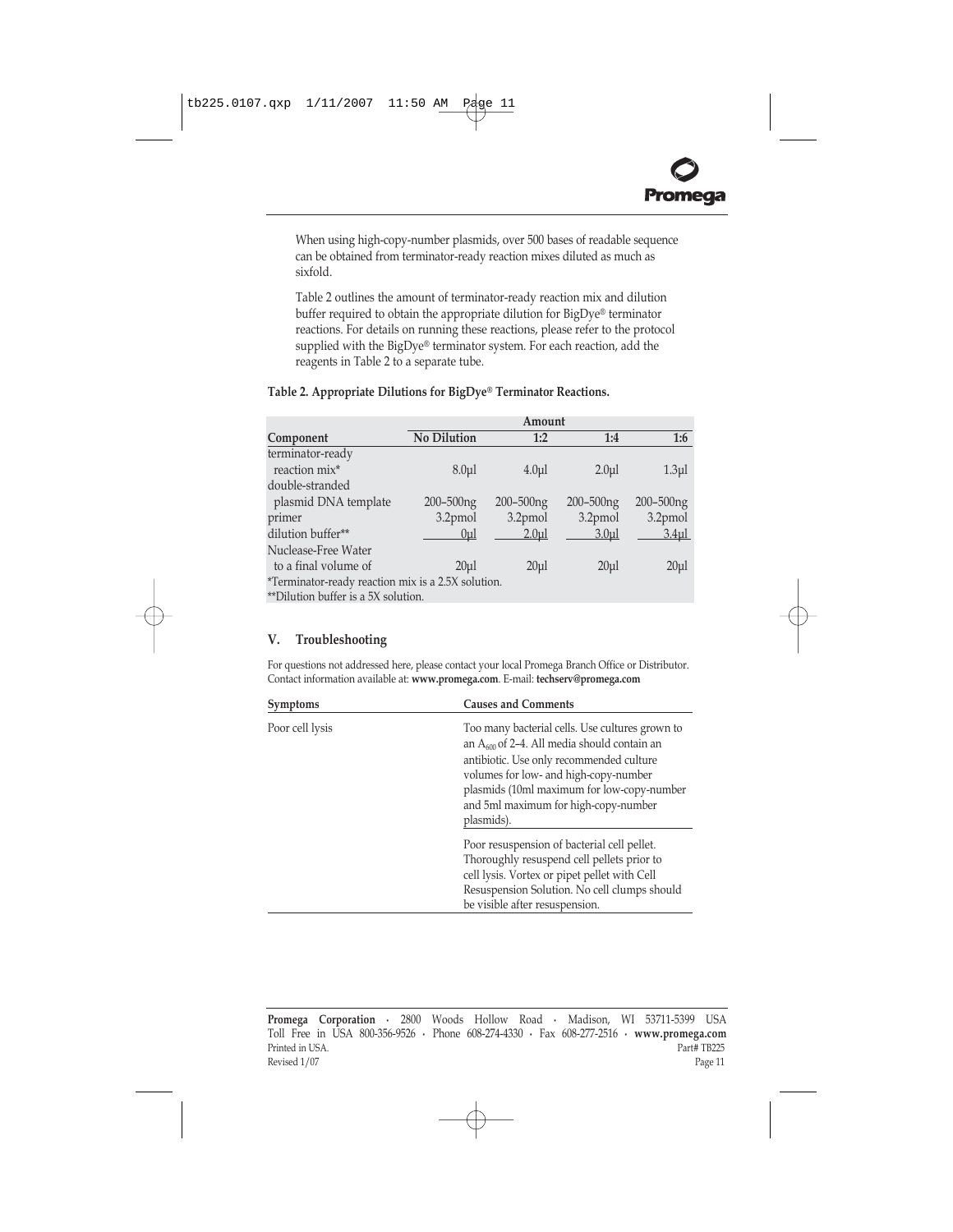<span id="page-11-0"></span>When using high-copy-number plasmids, over 500 bases of readable sequence can be obtained from terminator-ready reaction mixes diluted as much as sixfold.

Table 2 outlines the amount of terminator-ready reaction mix and dilution buffer required to obtain the appropriate dilution for BigDye® terminator reactions. For details on running these reactions, please refer to the protocol supplied with the BigDye® terminator system. For each reaction, add the reagents in Table 2 to a separate tube.

|                                                    | Amount           |                  |                  |                  |
|----------------------------------------------------|------------------|------------------|------------------|------------------|
| Component                                          | No Dilution      | 1:2              | 1:4              | 1:6              |
| terminator-ready                                   |                  |                  |                  |                  |
| reaction mix*                                      | 8.0 <sub>u</sub> | 4.0 <sub>u</sub> | 2.0 <sub>u</sub> | 1.3 <sub>µ</sub> |
| double-stranded                                    |                  |                  |                  |                  |
| plasmid DNA template                               | $200 - 500$ ng   | $200 - 500$ ng   | $200 - 500$ ng   | 200-500ng        |
| primer                                             | 3.2pmol          | 3.2pmol          | 3.2pmol          | 3.2pmol          |
| dilution buffer**                                  | 0 <sub>u</sub>   | 2.0 <sub>u</sub> | 3.0 <sub>u</sub> | 3.4 <sub>µ</sub> |
| Nuclease-Free Water                                |                  |                  |                  |                  |
| to a final volume of                               | $20 \mu$         | 20 <sub>u</sub>  | 20 <sub>µ</sub>  | $20 \mu$         |
| *Terminator-ready reaction mix is a 2.5X solution. |                  |                  |                  |                  |
| **Dilution buffer is a 5X solution.                |                  |                  |                  |                  |

# Table 2. Appropriate Dilutions for BigDye® Terminator Reactions.

# **V. Troubleshooting**

For questions not addressed here, please contact your local Promega Branch Office or Distributor. Contact information available at: **www.promega.com**. E-mail: **techserv@promega.com**

| <b>Causes and Comments</b><br>Symptoms |                                                                                                                                                                                                                                                                                              |
|----------------------------------------|----------------------------------------------------------------------------------------------------------------------------------------------------------------------------------------------------------------------------------------------------------------------------------------------|
| Poor cell lysis                        | Too many bacterial cells. Use cultures grown to<br>an $A_{600}$ of 2–4. All media should contain an<br>antibiotic. Use only recommended culture<br>volumes for low- and high-copy-number<br>plasmids (10ml maximum for low-copy-number<br>and 5ml maximum for high-copy-number<br>plasmids). |
|                                        | Poor resuspension of bacterial cell pellet.<br>Thoroughly resuspend cell pellets prior to<br>cell lysis. Vortex or pipet pellet with Cell<br>Resuspension Solution. No cell clumps should<br>be visible after resuspension.                                                                  |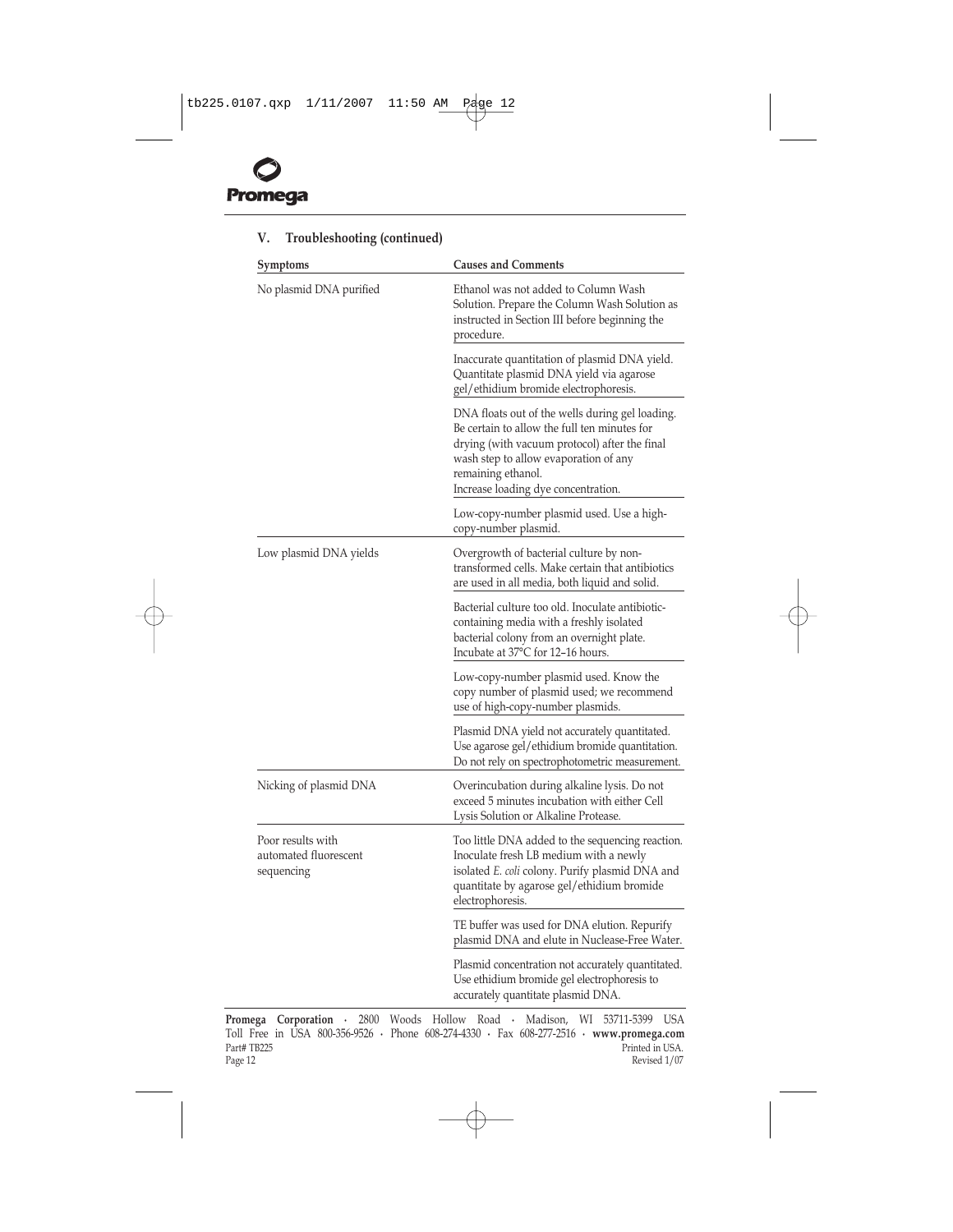

| Symptoms                                                 | <b>Causes and Comments</b>                                                                                                                                                                                                                             |  |  |
|----------------------------------------------------------|--------------------------------------------------------------------------------------------------------------------------------------------------------------------------------------------------------------------------------------------------------|--|--|
| No plasmid DNA purified                                  | Ethanol was not added to Column Wash<br>Solution. Prepare the Column Wash Solution as<br>instructed in Section III before beginning the<br>procedure.                                                                                                  |  |  |
|                                                          | Inaccurate quantitation of plasmid DNA yield.<br>Quantitate plasmid DNA yield via agarose<br>gel/ethidium bromide electrophoresis.                                                                                                                     |  |  |
|                                                          | DNA floats out of the wells during gel loading.<br>Be certain to allow the full ten minutes for<br>drying (with vacuum protocol) after the final<br>wash step to allow evaporation of any<br>remaining ethanol.<br>Increase loading dye concentration. |  |  |
|                                                          | Low-copy-number plasmid used. Use a high-<br>copy-number plasmid.                                                                                                                                                                                      |  |  |
| Low plasmid DNA yields                                   | Overgrowth of bacterial culture by non-<br>transformed cells. Make certain that antibiotics<br>are used in all media, both liquid and solid.                                                                                                           |  |  |
|                                                          | Bacterial culture too old. Inoculate antibiotic-<br>containing media with a freshly isolated<br>bacterial colony from an overnight plate.<br>Incubate at 37°C for 12–16 hours.                                                                         |  |  |
|                                                          | Low-copy-number plasmid used. Know the<br>copy number of plasmid used; we recommend<br>use of high-copy-number plasmids.                                                                                                                               |  |  |
|                                                          | Plasmid DNA yield not accurately quantitated.<br>Use agarose gel/ethidium bromide quantitation.<br>Do not rely on spectrophotometric measurement.                                                                                                      |  |  |
| Nicking of plasmid DNA                                   | Overincubation during alkaline lysis. Do not<br>exceed 5 minutes incubation with either Cell<br>Lysis Solution or Alkaline Protease.                                                                                                                   |  |  |
| Poor results with<br>automated fluorescent<br>sequencing | Too little DNA added to the sequencing reaction.<br>Inoculate fresh LB medium with a newly<br>isolated <i>E. coli</i> colony. Purify plasmid DNA and<br>quantitate by agarose gel/ethidium bromide<br>electrophoresis.                                 |  |  |
|                                                          | TE buffer was used for DNA elution. Repurify<br>plasmid DNA and elute in Nuclease-Free Water.                                                                                                                                                          |  |  |
|                                                          | Plasmid concentration not accurately quantitated.<br>Use ethidium bromide gel electrophoresis to<br>accurately quantitate plasmid DNA.                                                                                                                 |  |  |

# **V. Troubleshooting (continued)**

**Promega Corporation ·** 2800 Woods Hollow Road **·** Madison, WI 53711-5399 USA Toll Free in USA 800-356-9526 **·** Phone 608-274-4330 **·** Fax 608-277-2516 **· www.promega.com** Part# TB225 Printed in USA.<br>
Printed in USA.<br>
Revised 1/07 Revised  $1/07$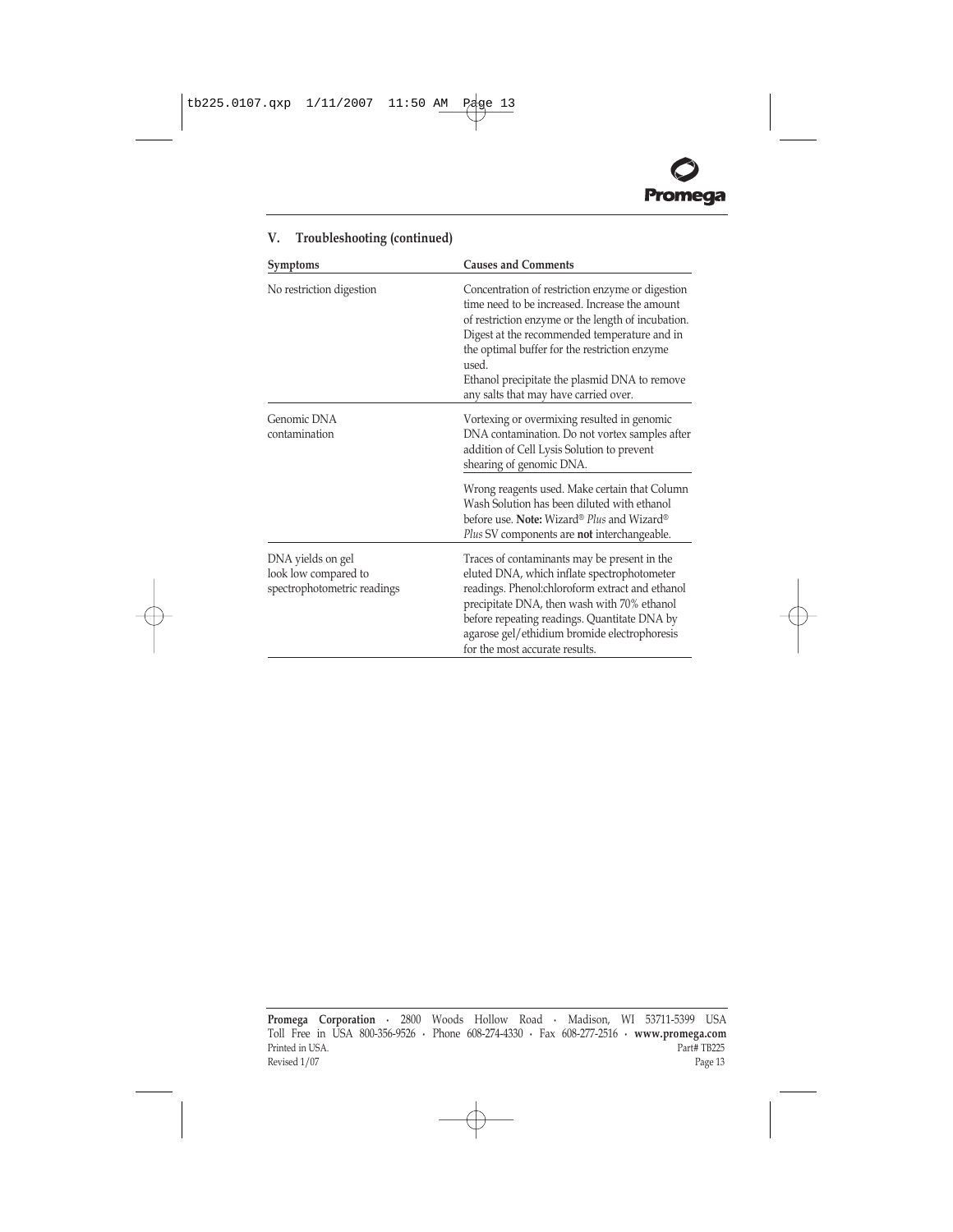

| Symptoms                                                                 | <b>Causes and Comments</b>                                                                                                                                                                                                                                                                                                                                   |  |
|--------------------------------------------------------------------------|--------------------------------------------------------------------------------------------------------------------------------------------------------------------------------------------------------------------------------------------------------------------------------------------------------------------------------------------------------------|--|
| No restriction digestion                                                 | Concentration of restriction enzyme or digestion<br>time need to be increased. Increase the amount<br>of restriction enzyme or the length of incubation.<br>Digest at the recommended temperature and in<br>the optimal buffer for the restriction enzyme<br>used.<br>Ethanol precipitate the plasmid DNA to remove<br>any salts that may have carried over. |  |
| Genomic DNA<br>contamination                                             | Vortexing or overmixing resulted in genomic<br>DNA contamination. Do not vortex samples after<br>addition of Cell Lysis Solution to prevent<br>shearing of genomic DNA.                                                                                                                                                                                      |  |
|                                                                          | Wrong reagents used. Make certain that Column<br>Wash Solution has been diluted with ethanol<br>before use. Note: Wizard® Plus and Wizard®<br>Plus SV components are <b>not</b> interchangeable.                                                                                                                                                             |  |
| DNA yields on gel<br>look low compared to<br>spectrophotometric readings | Traces of contaminants may be present in the<br>eluted DNA, which inflate spectrophotometer<br>readings. Phenol:chloroform extract and ethanol<br>precipitate DNA, then wash with 70% ethanol<br>before repeating readings. Quantitate DNA by<br>agarose gel/ethidium bromide electrophoresis<br>for the most accurate results.                              |  |

# **V. Troubleshooting (continued)**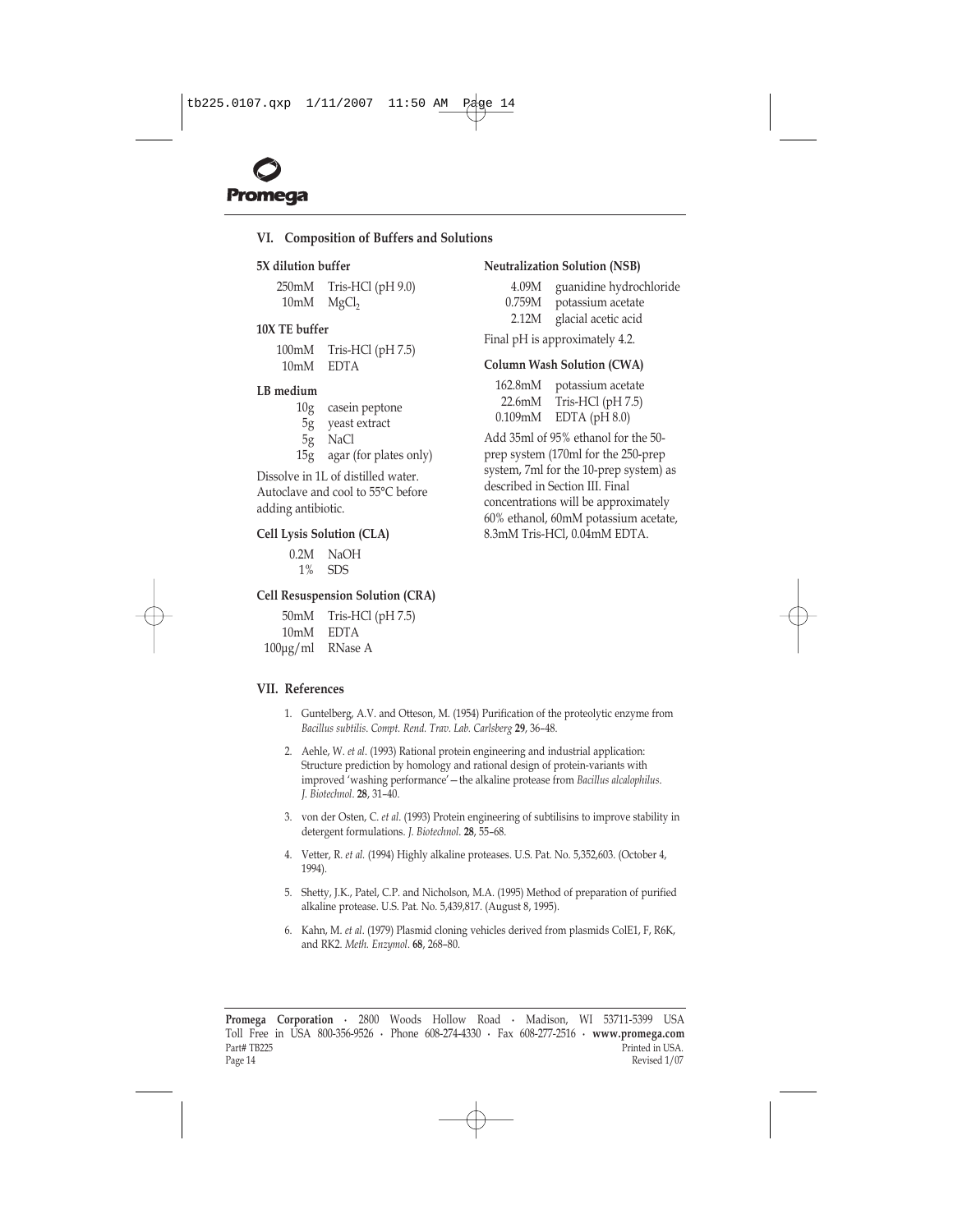# <span id="page-14-0"></span>**VI. Composition of Buffers and Solutions**

#### **5X dilution buffer**

250mM Tris-HCl (pH 9.0)  $10mM$  MgCl<sub>2</sub>

# **10X TE buffer**

100mM Tris-HCl (pH 7.5) 10mM EDTA

#### **LB medium**

| 10g | casein peptone |
|-----|----------------|
|     | .              |

- 5g yeast extract
- 5g NaCl
- 15g agar (for plates only)

Dissolve in 1L of distilled water. Autoclave and cool to 55°C before adding antibiotic.

#### **Cell Lysis Solution (CLA)**

| 0.2M | NaOH |
|------|------|
| 1%   | SDS  |

#### **Cell Resuspension Solution (CRA)**

50mM Tris-HCl (pH 7.5) 10mM EDTA 100µg/ml RNase A

#### **VII. References**

- 1. Guntelberg, A.V. and Otteson, M. (1954) Purification of the proteolytic enzyme from *Bacillus subtilis. Compt. Rend. Trav. Lab. Carlsberg* 29, 36-48.
- 2. Aehle, W. *et al*. (1993) Rational protein engineering and industrial application: Structure prediction by homology and rational design of protein-variants with improved 'washing performance' - the alkaline protease from *Bacillus alcalophilus*. *J. Biotechnol.* **28**, 31-40.
- 3. von der Osten, C. *et al*. (1993) Protein engineering of subtilisins to improve stability in detergent formulations. *J. Biotechnol*. **28**, 55-68.
- 4. Vetter, R. *et al.* (1994) Highly alkaline proteases. U.S. Pat. No. 5,352,603. (October 4, 1994).
- 5. Shetty, J.K., Patel, C.P. and Nicholson, M.A. (1995) Method of preparation of purified alkaline protease. U.S. Pat. No. 5,439,817. (August 8, 1995).
- 6. Kahn, M. *et al*. (1979) Plasmid cloning vehicles derived from plasmids ColE1, F, R6K, and RK2. *Meth. Enzymol*. 68, 268-80.

**Promega Corporation ·** 2800 Woods Hollow Road **·** Madison, WI 53711-5399 USA Toll Free in USA 800-356-9526 **·** Phone 608-274-4330 **·** Fax 608-277-2516 **· www.promega.com** Part# TB225 Printed in USA.<br>Page 14 Printed in USA. Page 14 Revised 1/07

#### **Neutralization Solution (NSB)**

- 4.09M guanidine hydrochloride
- 0.759M potassium acetate
- 2.12M glacial acetic acid

Final pH is approximately 4.2.

#### **Column Wash Solution (CWA)**

162.8mM potassium acetate 22.6mM Tris-HCl (pH 7.5) 0.109mM EDTA (pH 8.0)

Add 35ml of 95% ethanol for the 50 prep system (170ml for the 250-prep system, 7ml for the 10-prep system) as described in [Section III.](#page-4-0) Final concentrations will be approximately 60% ethanol, 60mM potassium acetate, 8.3mM Tris-HCl, 0.04mM EDTA.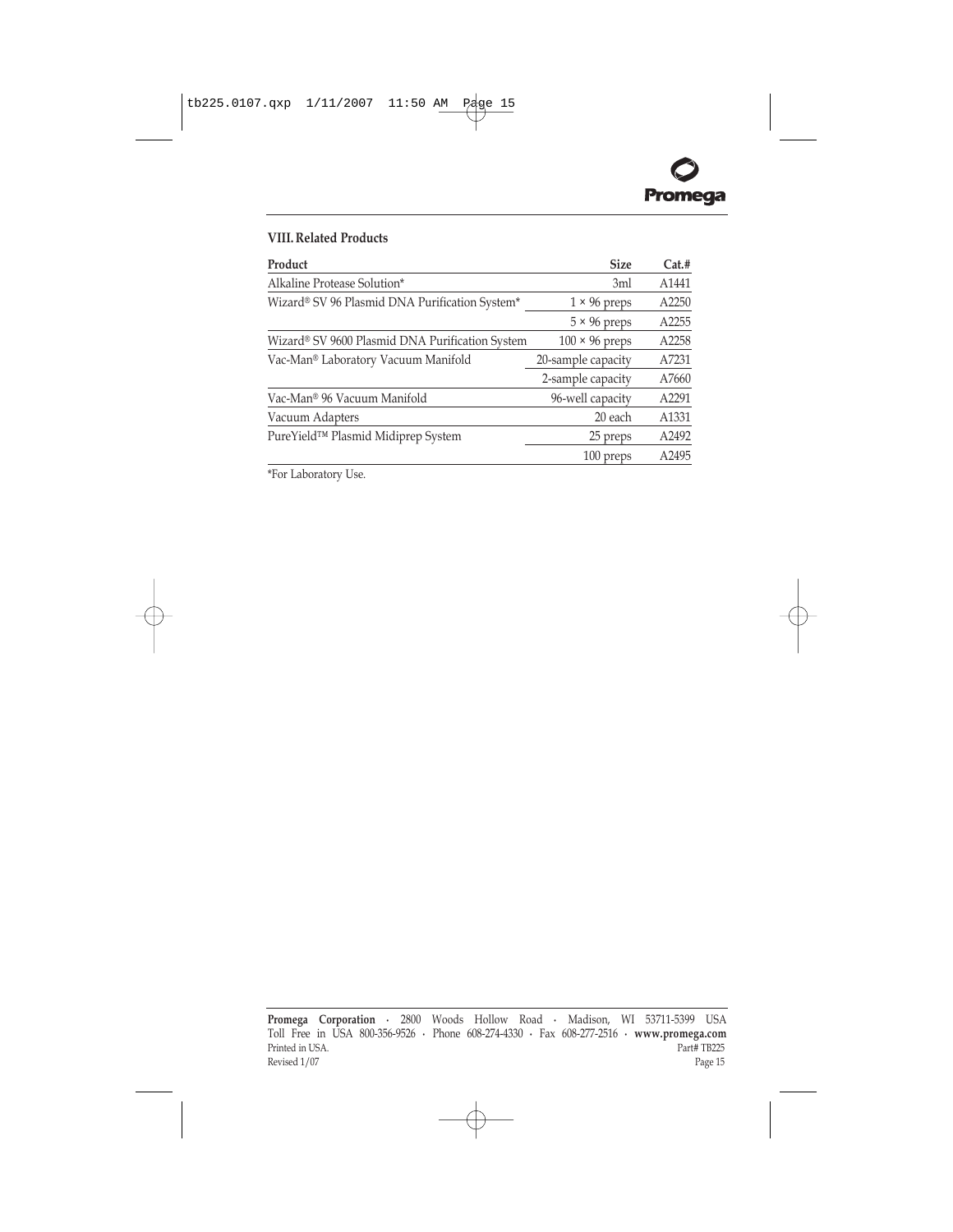

# <span id="page-15-0"></span>**VIII. Related Products**

| Product                                         | <b>Size</b>           | Cat.# |
|-------------------------------------------------|-----------------------|-------|
| Alkaline Protease Solution*                     | 3ml                   | A1441 |
| Wizard® SV 96 Plasmid DNA Purification System*  | $1 \times 96$ preps   | A2250 |
|                                                 | $5 \times 96$ preps   | A2255 |
| Wizard® SV 9600 Plasmid DNA Purification System | $100 \times 96$ preps | A2258 |
| Vac-Man® Laboratory Vacuum Manifold             | 20-sample capacity    | A7231 |
|                                                 | 2-sample capacity     | A7660 |
| Vac-Man® 96 Vacuum Manifold                     | 96-well capacity      | A2291 |
| Vacuum Adapters                                 | 20 each               | A1331 |
| PureYield™ Plasmid Midiprep System              | 25 preps              | A2492 |
|                                                 | 100 preps             | A2495 |

\*For Laboratory Use.

**Promega Corporation ·** 2800 Woods Hollow Road **·** Madison, WI 53711-5399 USA Toll Free in USA 800-356-9526 **·** Phone 608-274-4330 **·** Fax 608-277-2516 **· www.promega.com** Printed in USA. Part# TB225 Revised  $1/07$  Page 15